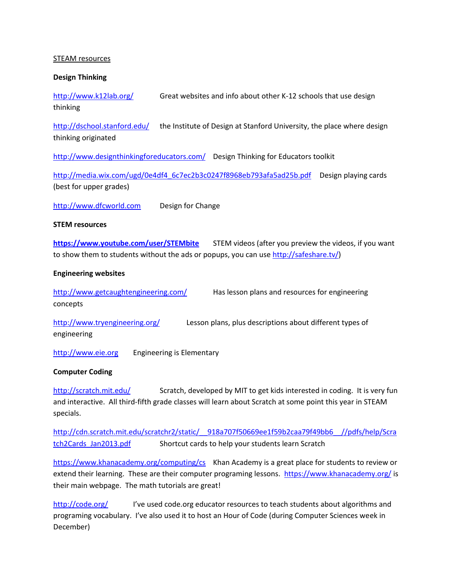## STEAM resources

## **Design Thinking**

<http://www.k12lab.org/> Great websites and info about other K-12 schools that use design thinking

<http://dschool.stanford.edu/> the Institute of Design at Stanford University, the place where design thinking originated

<http://www.designthinkingforeducators.com/> Design Thinking for Educators toolkit

[http://media.wix.com/ugd/0e4df4\\_6c7ec2b3c0247f8968eb793afa5ad25b.pdf](http://media.wix.com/ugd/0e4df4_6c7ec2b3c0247f8968eb793afa5ad25b.pdf) Design playing cards (best for upper grades)

[http://www.dfcworld.com](http://www.dfcworld.com/) Design for Change

#### **STEM resources**

**<https://www.youtube.com/user/STEMbite>** STEM videos (after you preview the videos, if you want to show them to students without the ads or popups, you can use  $\frac{http://safeshare.tv/)}$ 

## **Engineering websites**

<http://www.getcaughtengineering.com/> Has lesson plans and resources for engineering concepts

<http://www.tryengineering.org/> Lesson plans, plus descriptions about different types of engineering

[http://www.eie.org](http://www.eie.org/) Engineering is Elementary

# **Computer Coding**

<http://scratch.mit.edu/> Scratch, developed by MIT to get kids interested in coding. It is very fun and interactive. All third-fifth grade classes will learn about Scratch at some point this year in STEAM specials.

[http://cdn.scratch.mit.edu/scratchr2/static/\\_\\_918a707f50669ee1f59b2caa79f49bb6\\_\\_//pdfs/help/Scra](http://cdn.scratch.mit.edu/scratchr2/static/__918a707f50669ee1f59b2caa79f49bb6__/pdfs/help/Scratch2Cards_Jan2013.pdf) [tch2Cards\\_Jan2013.pdf](http://cdn.scratch.mit.edu/scratchr2/static/__918a707f50669ee1f59b2caa79f49bb6__/pdfs/help/Scratch2Cards_Jan2013.pdf) Shortcut cards to help your students learn Scratch

<https://www.khanacademy.org/computing/cs> Khan Academy is a great place for students to review or extend their learning. These are their computer programing lessons. <https://www.khanacademy.org/> is their main webpage. The math tutorials are great!

<http://code.org/> I've used code.org educator resources to teach students about algorithms and programing vocabulary. I've also used it to host an Hour of Code (during Computer Sciences week in December)